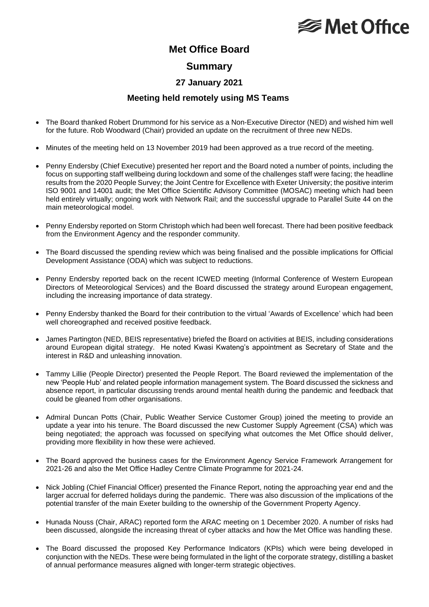## **<del></del>** Met Office

### **Met Office Board**

#### **Summary**

#### **27 January 2021**

#### **Meeting held remotely using MS Teams**

- The Board thanked Robert Drummond for his service as a Non-Executive Director (NED) and wished him well for the future. Rob Woodward (Chair) provided an update on the recruitment of three new NEDs.
- Minutes of the meeting held on 13 November 2019 had been approved as a true record of the meeting.
- Penny Endersby (Chief Executive) presented her report and the Board noted a number of points, including the focus on supporting staff wellbeing during lockdown and some of the challenges staff were facing; the headline results from the 2020 People Survey; the Joint Centre for Excellence with Exeter University; the positive interim ISO 9001 and 14001 audit; the Met Office Scientific Advisory Committee (MOSAC) meeting which had been held entirely virtually; ongoing work with Network Rail; and the successful upgrade to Parallel Suite 44 on the main meteorological model.
- Penny Endersby reported on Storm Christoph which had been well forecast. There had been positive feedback from the Environment Agency and the responder community.
- The Board discussed the spending review which was being finalised and the possible implications for Official Development Assistance (ODA) which was subject to reductions.
- Penny Endersby reported back on the recent ICWED meeting (Informal Conference of Western European Directors of Meteorological Services) and the Board discussed the strategy around European engagement, including the increasing importance of data strategy.
- Penny Endersby thanked the Board for their contribution to the virtual 'Awards of Excellence' which had been well choreographed and received positive feedback.
- James Partington (NED, BEIS representative) briefed the Board on activities at BEIS, including considerations around European digital strategy. He noted Kwasi Kwateng's appointment as Secretary of State and the interest in R&D and unleashing innovation.
- Tammy Lillie (People Director) presented the People Report. The Board reviewed the implementation of the new 'People Hub' and related people information management system. The Board discussed the sickness and absence report, in particular discussing trends around mental health during the pandemic and feedback that could be gleaned from other organisations.
- Admiral Duncan Potts (Chair, Public Weather Service Customer Group) joined the meeting to provide an update a year into his tenure. The Board discussed the new Customer Supply Agreement (CSA) which was being negotiated; the approach was focussed on specifying what outcomes the Met Office should deliver, providing more flexibility in how these were achieved.
- The Board approved the business cases for the Environment Agency Service Framework Arrangement for 2021-26 and also the Met Office Hadley Centre Climate Programme for 2021-24.
- Nick Jobling (Chief Financial Officer) presented the Finance Report, noting the approaching year end and the larger accrual for deferred holidays during the pandemic. There was also discussion of the implications of the potential transfer of the main Exeter building to the ownership of the Government Property Agency.
- Hunada Nouss (Chair, ARAC) reported form the ARAC meeting on 1 December 2020. A number of risks had been discussed, alongside the increasing threat of cyber attacks and how the Met Office was handling these.
- The Board discussed the proposed Key Performance Indicators (KPIs) which were being developed in conjunction with the NEDs. These were being formulated in the light of the corporate strategy, distilling a basket of annual performance measures aligned with longer-term strategic objectives.